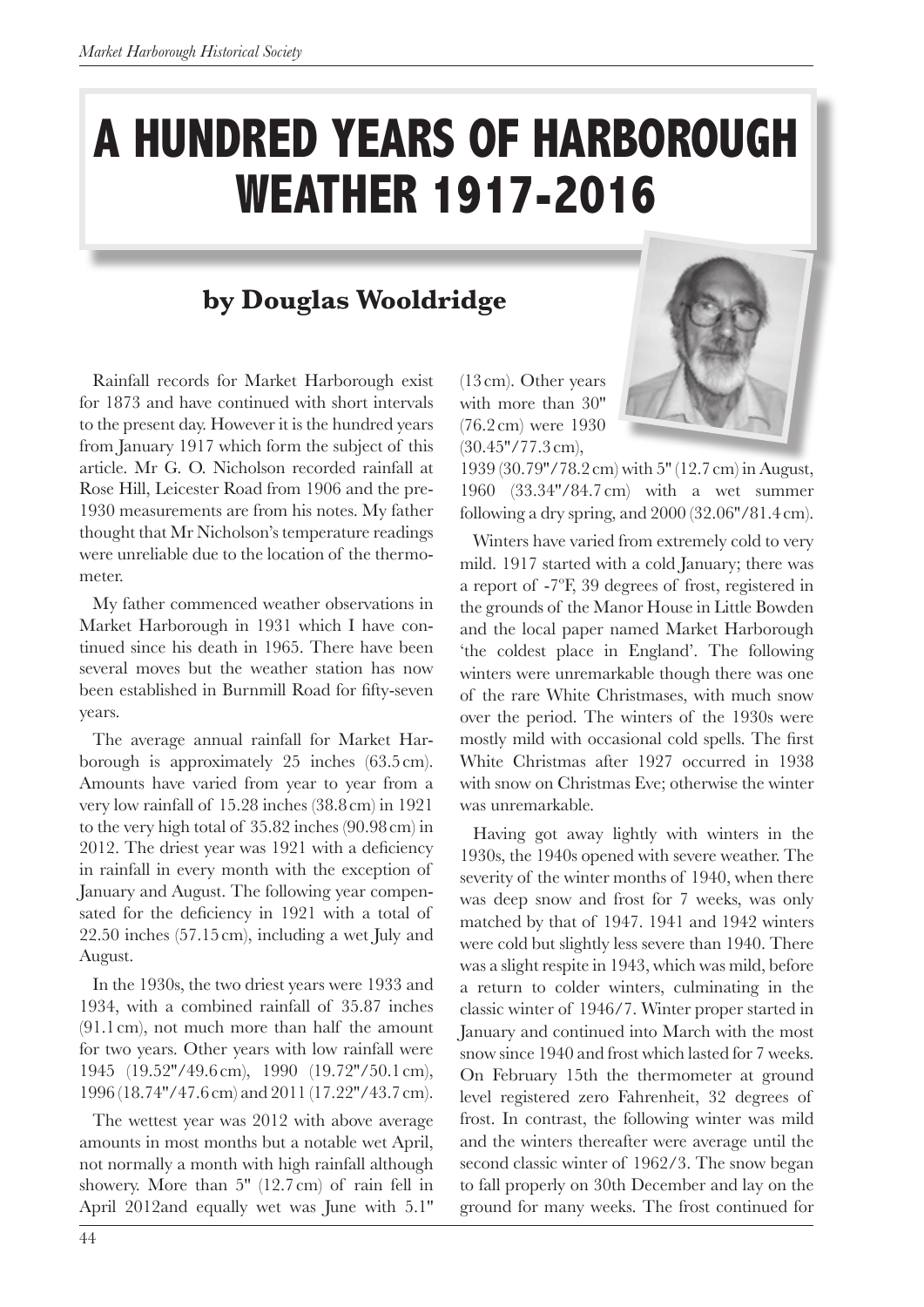## **A HUNDRED YEARS OF HARBOROUGH WEATHER 1917-2016**

## **by Douglas Wooldridge**

Rainfall records for Market Harborough exist for 1873 and have continued with short intervals to the present day. However it is the hundred years from January 1917 which form the subject of this article. Mr G. O. Nicholson recorded rainfall at Rose Hill, Leicester Road from 1906 and the pre-1930 measurements are from his notes. My father thought that Mr Nicholson's temperature readings were unreliable due to the location of the thermometer.

My father commenced weather observations in Market Harborough in 1931 which I have continued since his death in 1965. There have been several moves but the weather station has now been established in Burnmill Road for fifty-seven years.

The average annual rainfall for Market Harborough is approximately 25 inches (63.5cm). Amounts have varied from year to year from a very low rainfall of 15.28 inches (38.8cm) in 1921 to the very high total of 35.82 inches (90.98cm) in 2012. The driest year was 1921 with a defciency in rainfall in every month with the exception of January and August. The following year compensated for the deficiency in 1921 with a total of 22.50 inches (57.15cm), including a wet July and August.

In the 1930s, the two driest years were 1933 and 1934, with a combined rainfall of 35.87 inches (91.1 cm), not much more than half the amount for two years. Other years with low rainfall were 1945 (19.52''/49.6 cm), 1990 (19.72''/50.1 cm), 1996 (18.74''/47.6 cm) and 2011 (17.22''/43.7 cm).

The wettest year was 2012 with above average amounts in most months but a notable wet April, not normally a month with high rainfall although showery. More than 5'' (12.7cm) of rain fell in April 2012and equally wet was June with 5.1'' (13cm). Other years with more than 30'' (76.2cm) were 1930 (30.45''/77.3 cm),



1939 (30.79''/78.2cm) with 5'' (12.7cm) in August, 1960 (33.34''/84.7 cm) with a wet summer following a dry spring, and 2000 (32.06''/81.4cm).

Winters have varied from extremely cold to very mild. 1917 started with a cold January; there was a report of -7ºF, 39 degrees of frost, registered in the grounds of the Manor House in Little Bowden and the local paper named Market Harborough 'the coldest place in England'. The following winters were unremarkable though there was one of the rare White Christmases, with much snow over the period. The winters of the 1930s were mostly mild with occasional cold spells. The frst White Christmas after 1927 occurred in 1938 with snow on Christmas Eve; otherwise the winter was unremarkable.

Having got away lightly with winters in the 1930s, the 1940s opened with severe weather. The severity of the winter months of 1940, when there was deep snow and frost for 7 weeks, was only matched by that of 1947. 1941 and 1942 winters were cold but slightly less severe than 1940. There was a slight respite in 1943, which was mild, before a return to colder winters, culminating in the classic winter of 1946/7. Winter proper started in January and continued into March with the most snow since 1940 and frost which lasted for 7 weeks. On February 15th the thermometer at ground level registered zero Fahrenheit, 32 degrees of frost. In contrast, the following winter was mild and the winters thereafter were average until the second classic winter of 1962/3. The snow began to fall properly on 30th December and lay on the ground for many weeks. The frost continued for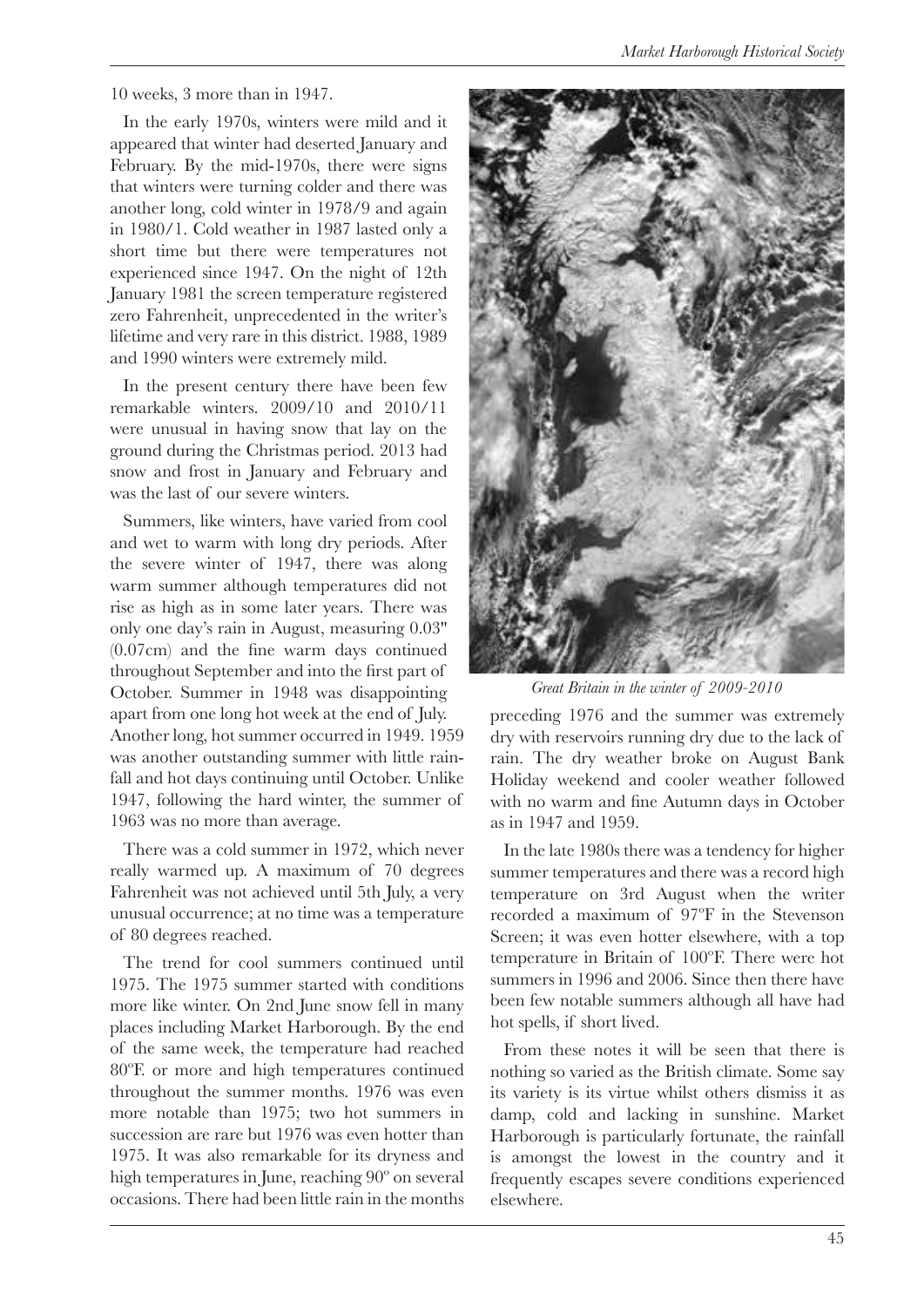10 weeks, 3 more than in 1947.

In the early 1970s, winters were mild and it appeared that winter had deserted January and February. By the mid-1970s, there were signs that winters were turning colder and there was another long, cold winter in 1978/9 and again in 1980/1. Cold weather in 1987 lasted only a short time but there were temperatures not experienced since 1947. On the night of 12th January 1981 the screen temperature registered zero Fahrenheit, unprecedented in the writer's lifetime and very rare in this district. 1988, 1989 and 1990 winters were extremely mild.

In the present century there have been few remarkable winters. 2009/10 and 2010/11 were unusual in having snow that lay on the ground during the Christmas period. 2013 had snow and frost in January and February and was the last of our severe winters.

Summers, like winters, have varied from cool and wet to warm with long dry periods. After the severe winter of 1947, there was along warm summer although temperatures did not rise as high as in some later years. There was only one day's rain in August, measuring 0.03'' (0.07cm) and the fne warm days continued throughout September and into the frst part of October. Summer in 1948 was disappointing apart from one long hot week at the end of July. Another long, hot summer occurred in 1949. 1959 was another outstanding summer with little rainfall and hot days continuing until October. Unlike 1947, following the hard winter, the summer of 1963 was no more than average.

There was a cold summer in 1972, which never really warmed up. A maximum of 70 degrees Fahrenheit was not achieved until 5th July, a very unusual occurrence; at no time was a temperature of 80 degrees reached.

The trend for cool summers continued until 1975. The 1975 summer started with conditions more like winter. On 2nd June snow fell in many places including Market Harborough. By the end of the same week, the temperature had reached 80ºF. or more and high temperatures continued throughout the summer months. 1976 was even more notable than 1975; two hot summers in succession are rare but 1976 was even hotter than 1975. It was also remarkable for its dryness and high temperatures in June, reaching 90º on several occasions. There had been little rain in the months



*Great Britain in the winter of 2009-2010*

preceding 1976 and the summer was extremely dry with reservoirs running dry due to the lack of rain. The dry weather broke on August Bank Holiday weekend and cooler weather followed with no warm and fne Autumn days in October as in 1947 and 1959.

In the late 1980s there was a tendency for higher summer temperatures and there was a record high temperature on 3rd August when the writer recorded a maximum of 97ºF in the Stevenson Screen; it was even hotter elsewhere, with a top temperature in Britain of 100ºF. There were hot summers in 1996 and 2006. Since then there have been few notable summers although all have had hot spells, if short lived.

From these notes it will be seen that there is nothing so varied as the British climate. Some say its variety is its virtue whilst others dismiss it as damp, cold and lacking in sunshine. Market Harborough is particularly fortunate, the rainfall is amongst the lowest in the country and it frequently escapes severe conditions experienced elsewhere.